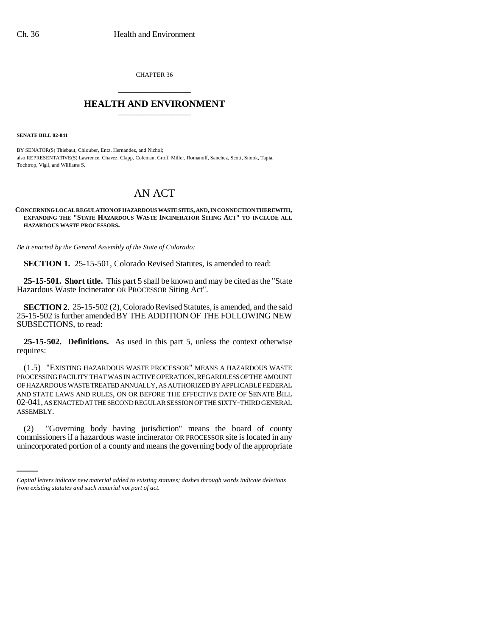CHAPTER 36 \_\_\_\_\_\_\_\_\_\_\_\_\_\_\_

## **HEALTH AND ENVIRONMENT** \_\_\_\_\_\_\_\_\_\_\_\_\_\_\_

**SENATE BILL 02-041**

BY SENATOR(S) Thiebaut, Chlouber, Entz, Hernandez, and Nichol; also REPRESENTATIVE(S) Lawrence, Chavez, Clapp, Coleman, Groff, Miller, Romanoff, Sanchez, Scott, Snook, Tapia, Tochtrop, Vigil, and Williams S.

# AN ACT

#### **CONCERNING LOCAL REGULATION OF HAZARDOUS WASTE SITES, AND, IN CONNECTION THEREWITH, EXPANDING THE "STATE HAZARDOUS WASTE INCINERATOR SITING ACT" TO INCLUDE ALL HAZARDOUS WASTE PROCESSORS.**

*Be it enacted by the General Assembly of the State of Colorado:*

**SECTION 1.** 25-15-501, Colorado Revised Statutes, is amended to read:

**25-15-501. Short title.** This part 5 shall be known and may be cited as the "State Hazardous Waste Incinerator OR PROCESSOR Siting Act".

**SECTION 2.** 25-15-502 (2), Colorado Revised Statutes, is amended, and the said 25-15-502 is further amended BY THE ADDITION OF THE FOLLOWING NEW SUBSECTIONS, to read:

**25-15-502. Definitions.** As used in this part 5, unless the context otherwise requires:

(1.5) "EXISTING HAZARDOUS WASTE PROCESSOR" MEANS A HAZARDOUS WASTE PROCESSING FACILITY THAT WAS IN ACTIVE OPERATION, REGARDLESS OF THE AMOUNT OF HAZARDOUS WASTE TREATED ANNUALLY, AS AUTHORIZED BY APPLICABLE FEDERAL AND STATE LAWS AND RULES, ON OR BEFORE THE EFFECTIVE DATE OF SENATE BILL 02-041, AS ENACTED AT THE SECOND REGULAR SESSION OF THE SIXTY-THIRD GENERAL ASSEMBLY.

 $(2)$ "Governing body having jurisdiction" means the board of county commissioners if a hazardous waste incinerator OR PROCESSOR site is located in any unincorporated portion of a county and means the governing body of the appropriate

*Capital letters indicate new material added to existing statutes; dashes through words indicate deletions from existing statutes and such material not part of act.*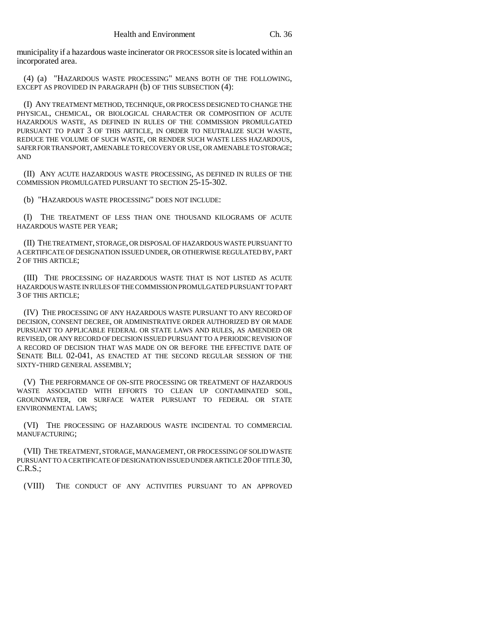municipality if a hazardous waste incinerator OR PROCESSOR site is located within an incorporated area.

(4) (a) "HAZARDOUS WASTE PROCESSING" MEANS BOTH OF THE FOLLOWING, EXCEPT AS PROVIDED IN PARAGRAPH (b) OF THIS SUBSECTION (4):

(I) ANY TREATMENT METHOD, TECHNIQUE, OR PROCESS DESIGNED TO CHANGE THE PHYSICAL, CHEMICAL, OR BIOLOGICAL CHARACTER OR COMPOSITION OF ACUTE HAZARDOUS WASTE, AS DEFINED IN RULES OF THE COMMISSION PROMULGATED PURSUANT TO PART 3 OF THIS ARTICLE, IN ORDER TO NEUTRALIZE SUCH WASTE, REDUCE THE VOLUME OF SUCH WASTE, OR RENDER SUCH WASTE LESS HAZARDOUS, SAFER FOR TRANSPORT, AMENABLE TO RECOVERY OR USE, OR AMENABLE TO STORAGE; AND

(II) ANY ACUTE HAZARDOUS WASTE PROCESSING, AS DEFINED IN RULES OF THE COMMISSION PROMULGATED PURSUANT TO SECTION 25-15-302.

(b) "HAZARDOUS WASTE PROCESSING" DOES NOT INCLUDE:

(I) THE TREATMENT OF LESS THAN ONE THOUSAND KILOGRAMS OF ACUTE HAZARDOUS WASTE PER YEAR;

(II) THE TREATMENT, STORAGE, OR DISPOSAL OF HAZARDOUS WASTE PURSUANT TO A CERTIFICATE OF DESIGNATION ISSUED UNDER, OR OTHERWISE REGULATED BY, PART 2 OF THIS ARTICLE;

(III) THE PROCESSING OF HAZARDOUS WASTE THAT IS NOT LISTED AS ACUTE HAZARDOUS WASTE IN RULES OF THE COMMISSION PROMULGATED PURSUANT TO PART 3 OF THIS ARTICLE;

(IV) THE PROCESSING OF ANY HAZARDOUS WASTE PURSUANT TO ANY RECORD OF DECISION, CONSENT DECREE, OR ADMINISTRATIVE ORDER AUTHORIZED BY OR MADE PURSUANT TO APPLICABLE FEDERAL OR STATE LAWS AND RULES, AS AMENDED OR REVISED, OR ANY RECORD OF DECISION ISSUED PURSUANT TO A PERIODIC REVISION OF A RECORD OF DECISION THAT WAS MADE ON OR BEFORE THE EFFECTIVE DATE OF SENATE BILL 02-041, AS ENACTED AT THE SECOND REGULAR SESSION OF THE SIXTY-THIRD GENERAL ASSEMBLY;

(V) THE PERFORMANCE OF ON-SITE PROCESSING OR TREATMENT OF HAZARDOUS WASTE ASSOCIATED WITH EFFORTS TO CLEAN UP CONTAMINATED SOIL, GROUNDWATER, OR SURFACE WATER PURSUANT TO FEDERAL OR STATE ENVIRONMENTAL LAWS;

(VI) THE PROCESSING OF HAZARDOUS WASTE INCIDENTAL TO COMMERCIAL MANUFACTURING;

(VII) THE TREATMENT, STORAGE, MANAGEMENT, OR PROCESSING OF SOLID WASTE PURSUANT TO A CERTIFICATE OF DESIGNATION ISSUED UNDER ARTICLE 20 OF TITLE 30, C.R.S.;

(VIII) THE CONDUCT OF ANY ACTIVITIES PURSUANT TO AN APPROVED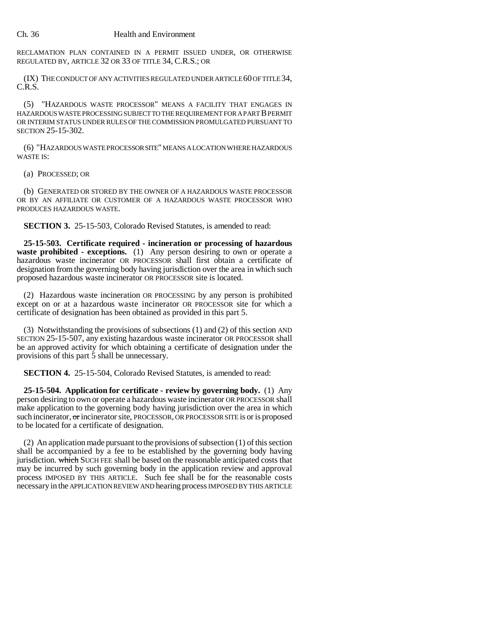RECLAMATION PLAN CONTAINED IN A PERMIT ISSUED UNDER, OR OTHERWISE REGULATED BY, ARTICLE 32 OR 33 OF TITLE 34, C.R.S.; OR

(IX) THE CONDUCT OF ANY ACTIVITIES REGULATED UNDER ARTICLE 60 OF TITLE 34, C.R.S.

(5) "HAZARDOUS WASTE PROCESSOR" MEANS A FACILITY THAT ENGAGES IN HAZARDOUS WASTE PROCESSING SUBJECT TO THE REQUIREMENT FOR A PART B PERMIT OR INTERIM STATUS UNDER RULES OF THE COMMISSION PROMULGATED PURSUANT TO SECTION 25-15-302.

(6) "HAZARDOUS WASTE PROCESSOR SITE" MEANS A LOCATION WHERE HAZARDOUS WASTE IS:

(a) PROCESSED; OR

(b) GENERATED OR STORED BY THE OWNER OF A HAZARDOUS WASTE PROCESSOR OR BY AN AFFILIATE OR CUSTOMER OF A HAZARDOUS WASTE PROCESSOR WHO PRODUCES HAZARDOUS WASTE.

**SECTION 3.** 25-15-503, Colorado Revised Statutes, is amended to read:

**25-15-503. Certificate required - incineration or processing of hazardous waste prohibited - exceptions.** (1) Any person desiring to own or operate a hazardous waste incinerator OR PROCESSOR shall first obtain a certificate of designation from the governing body having jurisdiction over the area in which such proposed hazardous waste incinerator OR PROCESSOR site is located.

(2) Hazardous waste incineration OR PROCESSING by any person is prohibited except on or at a hazardous waste incinerator OR PROCESSOR site for which a certificate of designation has been obtained as provided in this part 5.

(3) Notwithstanding the provisions of subsections (1) and (2) of this section AND SECTION 25-15-507, any existing hazardous waste incinerator OR PROCESSOR shall be an approved activity for which obtaining a certificate of designation under the provisions of this part 5 shall be unnecessary.

**SECTION 4.** 25-15-504, Colorado Revised Statutes, is amended to read:

**25-15-504. Application for certificate - review by governing body.** (1) Any person desiring to own or operate a hazardous waste incinerator OR PROCESSOR shall make application to the governing body having jurisdiction over the area in which such incinerator, or incinerator site, PROCESSOR, OR PROCESSOR SITE is or is proposed to be located for a certificate of designation.

(2) An application made pursuant to the provisions of subsection (1) of this section shall be accompanied by a fee to be established by the governing body having jurisdiction. which SUCH FEE shall be based on the reasonable anticipated costs that may be incurred by such governing body in the application review and approval process IMPOSED BY THIS ARTICLE. Such fee shall be for the reasonable costs necessary in the APPLICATION REVIEW AND hearing process IMPOSED BY THIS ARTICLE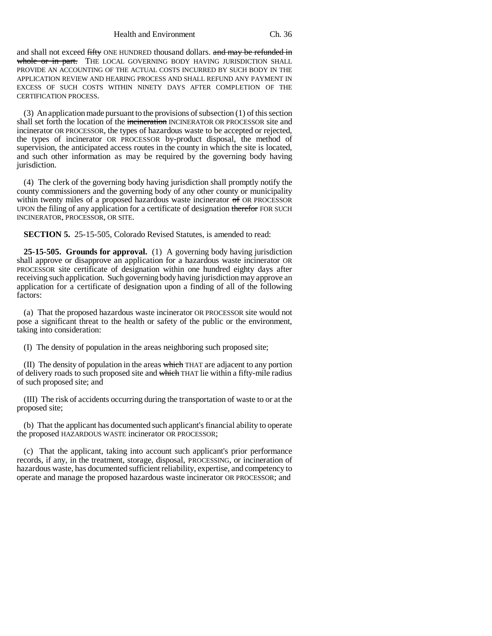Health and Environment Ch. 36

and shall not exceed fifty ONE HUNDRED thousand dollars. and may be refunded in whole or in part. THE LOCAL GOVERNING BODY HAVING JURISDICTION SHALL PROVIDE AN ACCOUNTING OF THE ACTUAL COSTS INCURRED BY SUCH BODY IN THE APPLICATION REVIEW AND HEARING PROCESS AND SHALL REFUND ANY PAYMENT IN EXCESS OF SUCH COSTS WITHIN NINETY DAYS AFTER COMPLETION OF THE CERTIFICATION PROCESS.

(3) An application made pursuant to the provisions of subsection (1) of this section shall set forth the location of the incineration INCINERATOR OR PROCESSOR site and incinerator OR PROCESSOR, the types of hazardous waste to be accepted or rejected, the types of incinerator OR PROCESSOR by-product disposal, the method of supervision, the anticipated access routes in the county in which the site is located, and such other information as may be required by the governing body having jurisdiction.

(4) The clerk of the governing body having jurisdiction shall promptly notify the county commissioners and the governing body of any other county or municipality within twenty miles of a proposed hazardous waste incinerator of OR PROCESSOR UPON the filing of any application for a certificate of designation therefor FOR SUCH INCINERATOR, PROCESSOR, OR SITE.

**SECTION 5.** 25-15-505, Colorado Revised Statutes, is amended to read:

**25-15-505. Grounds for approval.** (1) A governing body having jurisdiction shall approve or disapprove an application for a hazardous waste incinerator OR PROCESSOR site certificate of designation within one hundred eighty days after receiving such application. Such governing body having jurisdiction may approve an application for a certificate of designation upon a finding of all of the following factors:

(a) That the proposed hazardous waste incinerator OR PROCESSOR site would not pose a significant threat to the health or safety of the public or the environment, taking into consideration:

(I) The density of population in the areas neighboring such proposed site;

(II) The density of population in the areas which THAT are adjacent to any portion of delivery roads to such proposed site and which THAT lie within a fifty-mile radius of such proposed site; and

(III) The risk of accidents occurring during the transportation of waste to or at the proposed site;

(b) That the applicant has documented such applicant's financial ability to operate the proposed HAZARDOUS WASTE incinerator OR PROCESSOR;

(c) That the applicant, taking into account such applicant's prior performance records, if any, in the treatment, storage, disposal, PROCESSING, or incineration of hazardous waste, has documented sufficient reliability, expertise, and competency to operate and manage the proposed hazardous waste incinerator OR PROCESSOR; and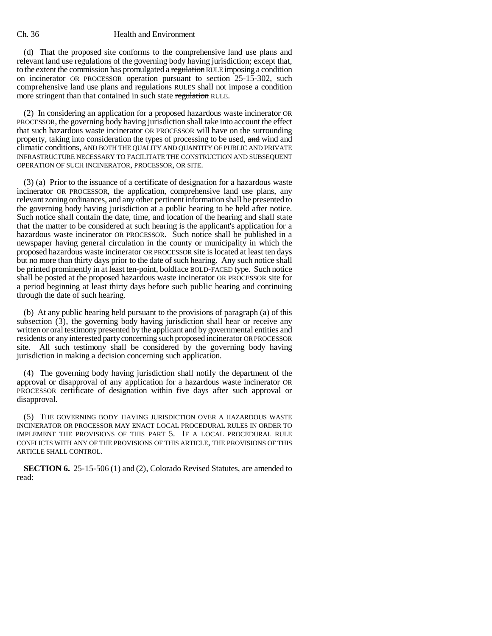(d) That the proposed site conforms to the comprehensive land use plans and relevant land use regulations of the governing body having jurisdiction; except that, to the extent the commission has promulgated a regulation RULE imposing a condition on incinerator OR PROCESSOR operation pursuant to section 25-15-302, such comprehensive land use plans and regulations RULES shall not impose a condition more stringent than that contained in such state regulation RULE.

(2) In considering an application for a proposed hazardous waste incinerator OR PROCESSOR, the governing body having jurisdiction shall take into account the effect that such hazardous waste incinerator OR PROCESSOR will have on the surrounding property, taking into consideration the types of processing to be used, and wind and climatic conditions, AND BOTH THE QUALITY AND QUANTITY OF PUBLIC AND PRIVATE INFRASTRUCTURE NECESSARY TO FACILITATE THE CONSTRUCTION AND SUBSEQUENT OPERATION OF SUCH INCINERATOR, PROCESSOR, OR SITE.

(3) (a) Prior to the issuance of a certificate of designation for a hazardous waste incinerator OR PROCESSOR, the application, comprehensive land use plans, any relevant zoning ordinances, and any other pertinent information shall be presented to the governing body having jurisdiction at a public hearing to be held after notice. Such notice shall contain the date, time, and location of the hearing and shall state that the matter to be considered at such hearing is the applicant's application for a hazardous waste incinerator OR PROCESSOR. Such notice shall be published in a newspaper having general circulation in the county or municipality in which the proposed hazardous waste incinerator OR PROCESSOR site is located at least ten days but no more than thirty days prior to the date of such hearing. Any such notice shall be printed prominently in at least ten-point, boldface BOLD-FACED type. Such notice shall be posted at the proposed hazardous waste incinerator OR PROCESSOR site for a period beginning at least thirty days before such public hearing and continuing through the date of such hearing.

(b) At any public hearing held pursuant to the provisions of paragraph (a) of this subsection (3), the governing body having jurisdiction shall hear or receive any written or oral testimony presented by the applicant and by governmental entities and residents or any interested party concerning such proposed incinerator OR PROCESSOR site. All such testimony shall be considered by the governing body having jurisdiction in making a decision concerning such application.

(4) The governing body having jurisdiction shall notify the department of the approval or disapproval of any application for a hazardous waste incinerator OR PROCESSOR certificate of designation within five days after such approval or disapproval.

(5) THE GOVERNING BODY HAVING JURISDICTION OVER A HAZARDOUS WASTE INCINERATOR OR PROCESSOR MAY ENACT LOCAL PROCEDURAL RULES IN ORDER TO IMPLEMENT THE PROVISIONS OF THIS PART 5. IF A LOCAL PROCEDURAL RULE CONFLICTS WITH ANY OF THE PROVISIONS OF THIS ARTICLE, THE PROVISIONS OF THIS ARTICLE SHALL CONTROL.

**SECTION 6.** 25-15-506 (1) and (2), Colorado Revised Statutes, are amended to read: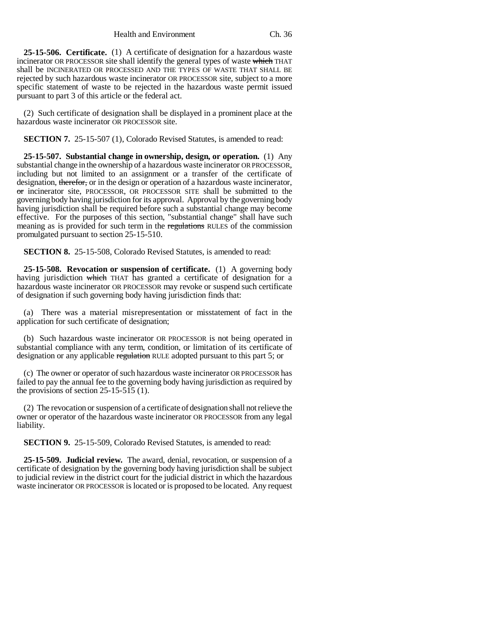Health and Environment Ch. 36

**25-15-506. Certificate.** (1) A certificate of designation for a hazardous waste incinerator OR PROCESSOR site shall identify the general types of waste which THAT shall be INCINERATED OR PROCESSED AND THE TYPES OF WASTE THAT SHALL BE rejected by such hazardous waste incinerator OR PROCESSOR site, subject to a more specific statement of waste to be rejected in the hazardous waste permit issued pursuant to part 3 of this article or the federal act.

(2) Such certificate of designation shall be displayed in a prominent place at the hazardous waste incinerator OR PROCESSOR site.

**SECTION 7.** 25-15-507 (1), Colorado Revised Statutes, is amended to read:

**25-15-507. Substantial change in ownership, design, or operation.** (1) Any substantial change in the ownership of a hazardous waste incinerator OR PROCESSOR, including but not limited to an assignment or a transfer of the certificate of designation, therefor, or in the design or operation of a hazardous waste incinerator, or incinerator site, PROCESSOR, OR PROCESSOR SITE shall be submitted to the governing body having jurisdiction for its approval. Approval by the governing body having jurisdiction shall be required before such a substantial change may become effective. For the purposes of this section, "substantial change" shall have such meaning as is provided for such term in the regulations RULES of the commission promulgated pursuant to section 25-15-510.

**SECTION 8.** 25-15-508, Colorado Revised Statutes, is amended to read:

**25-15-508. Revocation or suspension of certificate.** (1) A governing body having jurisdiction which THAT has granted a certificate of designation for a hazardous waste incinerator OR PROCESSOR may revoke or suspend such certificate of designation if such governing body having jurisdiction finds that:

(a) There was a material misrepresentation or misstatement of fact in the application for such certificate of designation;

(b) Such hazardous waste incinerator OR PROCESSOR is not being operated in substantial compliance with any term, condition, or limitation of its certificate of designation or any applicable regulation RULE adopted pursuant to this part 5; or

(c) The owner or operator of such hazardous waste incinerator OR PROCESSOR has failed to pay the annual fee to the governing body having jurisdiction as required by the provisions of section  $25-15-515$  (1).

(2) The revocation or suspension of a certificate of designation shall not relieve the owner or operator of the hazardous waste incinerator OR PROCESSOR from any legal liability.

**SECTION 9.** 25-15-509, Colorado Revised Statutes, is amended to read:

**25-15-509. Judicial review.** The award, denial, revocation, or suspension of a certificate of designation by the governing body having jurisdiction shall be subject to judicial review in the district court for the judicial district in which the hazardous waste incinerator OR PROCESSOR is located or is proposed to be located. Any request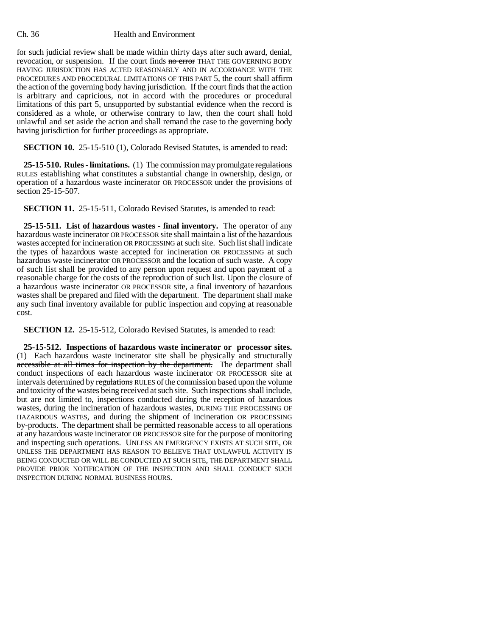for such judicial review shall be made within thirty days after such award, denial, revocation, or suspension. If the court finds no error THAT THE GOVERNING BODY HAVING JURISDICTION HAS ACTED REASONABLY AND IN ACCORDANCE WITH THE PROCEDURES AND PROCEDURAL LIMITATIONS OF THIS PART 5, the court shall affirm the action of the governing body having jurisdiction. If the court finds that the action is arbitrary and capricious, not in accord with the procedures or procedural limitations of this part 5, unsupported by substantial evidence when the record is considered as a whole, or otherwise contrary to law, then the court shall hold unlawful and set aside the action and shall remand the case to the governing body having jurisdiction for further proceedings as appropriate.

**SECTION 10.** 25-15-510 (1), Colorado Revised Statutes, is amended to read:

**25-15-510. Rules - limitations.** (1) The commission may promulgate regulations RULES establishing what constitutes a substantial change in ownership, design, or operation of a hazardous waste incinerator OR PROCESSOR under the provisions of section 25-15-507.

**SECTION 11.** 25-15-511, Colorado Revised Statutes, is amended to read:

**25-15-511. List of hazardous wastes - final inventory.** The operator of any hazardous waste incinerator OR PROCESSOR site shall maintain a list of the hazardous wastes accepted for incineration OR PROCESSING at such site. Such list shall indicate the types of hazardous waste accepted for incineration OR PROCESSING at such hazardous waste incinerator OR PROCESSOR and the location of such waste. A copy of such list shall be provided to any person upon request and upon payment of a reasonable charge for the costs of the reproduction of such list. Upon the closure of a hazardous waste incinerator OR PROCESSOR site, a final inventory of hazardous wastes shall be prepared and filed with the department. The department shall make any such final inventory available for public inspection and copying at reasonable cost.

**SECTION 12.** 25-15-512, Colorado Revised Statutes, is amended to read:

**25-15-512. Inspections of hazardous waste incinerator or processor sites.** (1) Each hazardous waste incinerator site shall be physically and structurally accessible at all times for inspection by the department. The department shall conduct inspections of each hazardous waste incinerator OR PROCESSOR site at intervals determined by regulations RULES of the commission based upon the volume and toxicity of the wastes being received at such site. Such inspections shall include, but are not limited to, inspections conducted during the reception of hazardous wastes, during the incineration of hazardous wastes, DURING THE PROCESSING OF HAZARDOUS WASTES, and during the shipment of incineration OR PROCESSING by-products. The department shall be permitted reasonable access to all operations at any hazardous waste incinerator OR PROCESSOR site for the purpose of monitoring and inspecting such operations. UNLESS AN EMERGENCY EXISTS AT SUCH SITE, OR UNLESS THE DEPARTMENT HAS REASON TO BELIEVE THAT UNLAWFUL ACTIVITY IS BEING CONDUCTED OR WILL BE CONDUCTED AT SUCH SITE, THE DEPARTMENT SHALL PROVIDE PRIOR NOTIFICATION OF THE INSPECTION AND SHALL CONDUCT SUCH INSPECTION DURING NORMAL BUSINESS HOURS.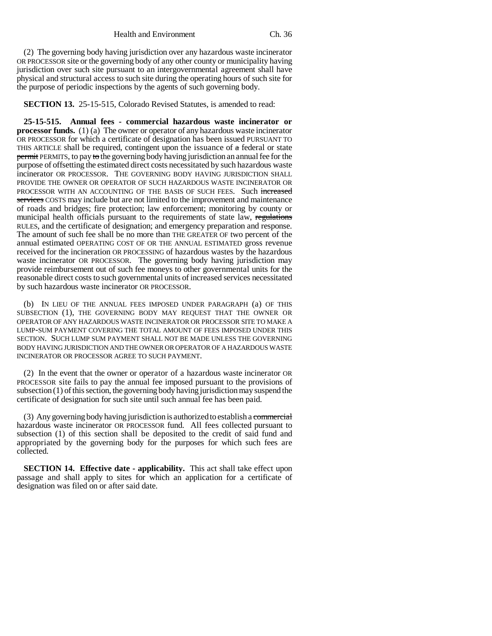(2) The governing body having jurisdiction over any hazardous waste incinerator OR PROCESSOR site or the governing body of any other county or municipality having jurisdiction over such site pursuant to an intergovernmental agreement shall have physical and structural access to such site during the operating hours of such site for the purpose of periodic inspections by the agents of such governing body.

**SECTION 13.** 25-15-515, Colorado Revised Statutes, is amended to read:

**25-15-515. Annual fees - commercial hazardous waste incinerator or processor funds.** (1) (a) The owner or operator of any hazardous waste incinerator OR PROCESSOR for which a certificate of designation has been issued PURSUANT TO THIS ARTICLE shall be required, contingent upon the issuance of  $\alpha$  federal or state permit PERMITS, to pay to the governing body having jurisdiction an annual fee for the purpose of offsetting the estimated direct costs necessitated by such hazardous waste incinerator OR PROCESSOR. THE GOVERNING BODY HAVING JURISDICTION SHALL PROVIDE THE OWNER OR OPERATOR OF SUCH HAZARDOUS WASTE INCINERATOR OR PROCESSOR WITH AN ACCOUNTING OF THE BASIS OF SUCH FEES. Such increased services COSTS may include but are not limited to the improvement and maintenance of roads and bridges; fire protection; law enforcement; monitoring by county or municipal health officials pursuant to the requirements of state law, regulations RULES, and the certificate of designation; and emergency preparation and response. The amount of such fee shall be no more than THE GREATER OF two percent of the annual estimated OPERATING COST OF OR THE ANNUAL ESTIMATED gross revenue received for the incineration OR PROCESSING of hazardous wastes by the hazardous waste incinerator OR PROCESSOR. The governing body having jurisdiction may provide reimbursement out of such fee moneys to other governmental units for the reasonable direct costs to such governmental units of increased services necessitated by such hazardous waste incinerator OR PROCESSOR.

(b) IN LIEU OF THE ANNUAL FEES IMPOSED UNDER PARAGRAPH (a) OF THIS SUBSECTION (1), THE GOVERNING BODY MAY REQUEST THAT THE OWNER OR OPERATOR OF ANY HAZARDOUS WASTE INCINERATOR OR PROCESSOR SITE TO MAKE A LUMP-SUM PAYMENT COVERING THE TOTAL AMOUNT OF FEES IMPOSED UNDER THIS SECTION. SUCH LUMP SUM PAYMENT SHALL NOT BE MADE UNLESS THE GOVERNING BODY HAVING JURISDICTION AND THE OWNER OR OPERATOR OF A HAZARDOUS WASTE INCINERATOR OR PROCESSOR AGREE TO SUCH PAYMENT.

(2) In the event that the owner or operator of a hazardous waste incinerator OR PROCESSOR site fails to pay the annual fee imposed pursuant to the provisions of subsection (1) of this section, the governing body having jurisdiction may suspend the certificate of designation for such site until such annual fee has been paid.

(3) Any governing body having jurisdiction is authorized to establish a commercial hazardous waste incinerator OR PROCESSOR fund. All fees collected pursuant to subsection (1) of this section shall be deposited to the credit of said fund and appropriated by the governing body for the purposes for which such fees are collected.

**SECTION 14. Effective date - applicability.** This act shall take effect upon passage and shall apply to sites for which an application for a certificate of designation was filed on or after said date.